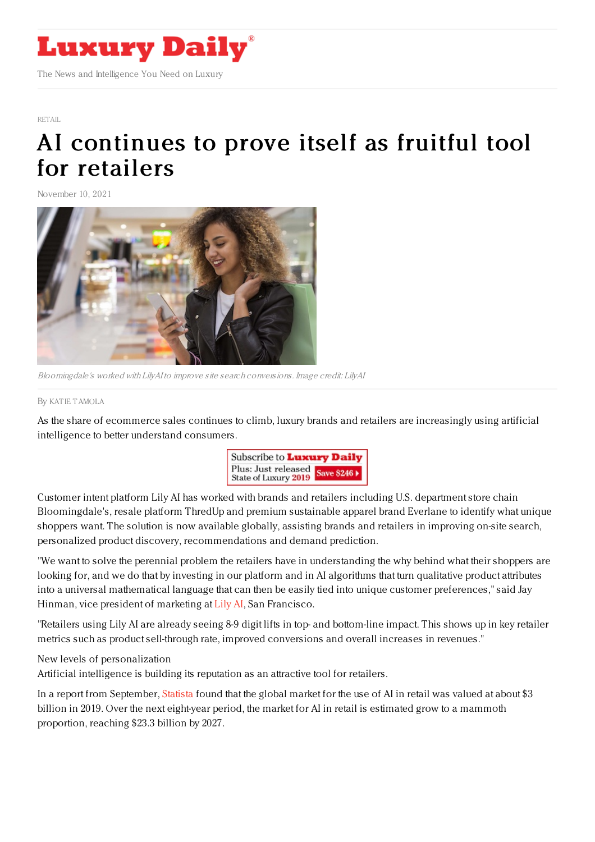

[RETAIL](https://www.luxurydaily.com/category/sectors/retail-industry-sectors/)

## AI [continues](https://www.luxurydaily.com/lily-ai-ecommerce-solution/) to prove itself as fruitful tool for retailers

November 10, 2021



Bloomingdale's worked with LilyAI to improve site search conversions. Image credit: LilyAI

By KAT IE [TAMOLA](file:///author/katie-tamola)

As the share of ecommerce sales continues to climb, luxury brands and retailers are increasingly using artificial intelligence to better understand consumers.



Customer intent platform Lily AI has worked with brands and retailers including U.S. department store chain Bloomingdale's, resale platform ThredUp and premium sustainable apparel brand Everlane to identify what unique shoppers want. The solution is now available globally, assisting brands and retailers in improving on-site search, personalized product discovery, recommendations and demand prediction.

"We want to solve the perennial problem the retailers have in understanding the why behind what their shoppers are looking for, and we do that by investing in our platform and in AI algorithms that turn qualitative product attributes into a universal mathematical language that can then be easily tied into unique customer preferences," said Jay Hinman, vice president of marketing at [Lily](https://www.lily.ai/) AI, San Francisco.

"Retailers using Lily AI are already seeing 8-9 digit lifts in top- and bottom-line impact. This shows up in key retailer metrics such as product sell-through rate, improved conversions and overall increases in revenues."

New levels of personalization

Artificial intelligence is building its reputation as an attractive tool for retailers.

In a report from September, [Statista](https://www.statista.com/statistics/1256646/ai-in-retail-market-size/) found that the global market for the use of AI in retail was valued at about \$3 billion in 2019. Over the next eight-year period, the market for AI in retail is estimated grow to a mammoth proportion, reaching \$23.3 billion by 2027.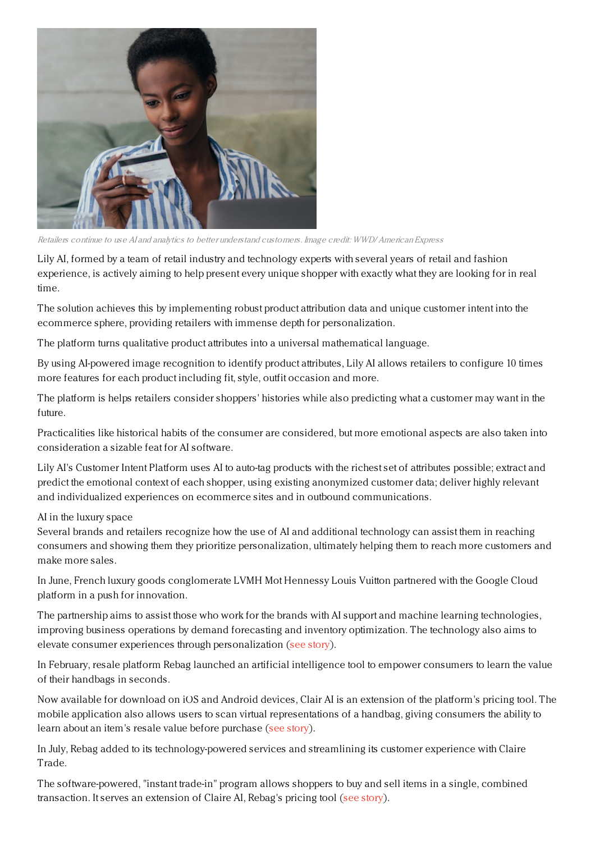

Retailers continue to use AI and analytics to better understand customers. Image credit: WWD/ American Express

Lily AI, formed by a team of retail industry and technology experts with several years of retail and fashion experience, is actively aiming to help present every unique shopper with exactly what they are looking for in real time.

The solution achieves this by implementing robust product attribution data and unique customer intent into the ecommerce sphere, providing retailers with immense depth for personalization.

The platform turns qualitative product attributes into a universal mathematical language.

By using AI-powered image recognition to identify product attributes, Lily AI allows retailers to configure 10 times more features for each product including fit, style, outfit occasion and more.

The platform is helps retailers consider shoppers' histories while also predicting what a customer may want in the future.

Practicalities like historical habits of the consumer are considered, but more emotional aspects are also taken into consideration a sizable feat for AI software.

Lily AI's Customer Intent Platform uses AI to auto-tag products with the richest set of attributes possible; extract and predict the emotional context of each shopper, using existing anonymized customer data; deliver highly relevant and individualized experiences on ecommerce sites and in outbound communications.

## AI in the luxury space

Several brands and retailers recognize how the use of AI and additional technology can assist them in reaching consumers and showing them they prioritize personalization, ultimately helping them to reach more customers and make more sales.

In June, French luxury goods conglomerate LVMH Mot Hennessy Louis Vuitton partnered with the Google Cloud platform in a push for innovation.

The partnership aims to assist those who work for the brands with AI support and machine learning technologies, improving business operations by demand forecasting and inventory optimization. The technology also aims to elevate consumer experiences through personalization (see [story](https://www.luxurydaily.com/lvmh-partners-with-google-cloud-developing-new-ai-solutions/)).

In February, resale platform Rebag launched an artificial intelligence tool to empower consumers to learn the value of their handbags in seconds.

Now available for download on iOS and Android devices, Clair AI is an extension of the platform's pricing tool. The mobile application also allows users to scan virtual representations of a handbag, giving consumers the ability to learn about an item's resale value before purchase (see [story](https://www.luxurydaily.com/rebag-introduces-ai-app-for-resale-quotes/)).

In July, Rebag added to its technology-powered services and streamlining its customer experience with Claire Trade.

The software-powered, "instant trade-in" program allows shoppers to buy and sell items in a single, combined transaction. It serves an extension of Claire AI, Rebag's pricing tool (see [story](https://www.luxurydaily.com/rebag-claire-trade/)).